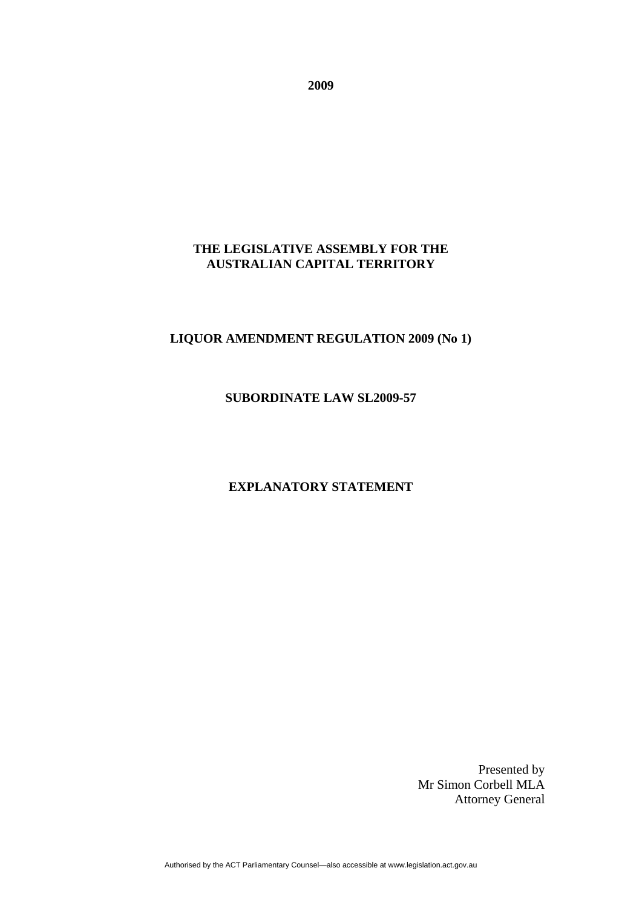**2009** 

## **THE LEGISLATIVE ASSEMBLY FOR THE AUSTRALIAN CAPITAL TERRITORY**

# **LIQUOR AMENDMENT REGULATION 2009 (No 1)**

#### **SUBORDINATE LAW SL2009-57**

# **EXPLANATORY STATEMENT**

Presented by Mr Simon Corbell MLA Attorney General